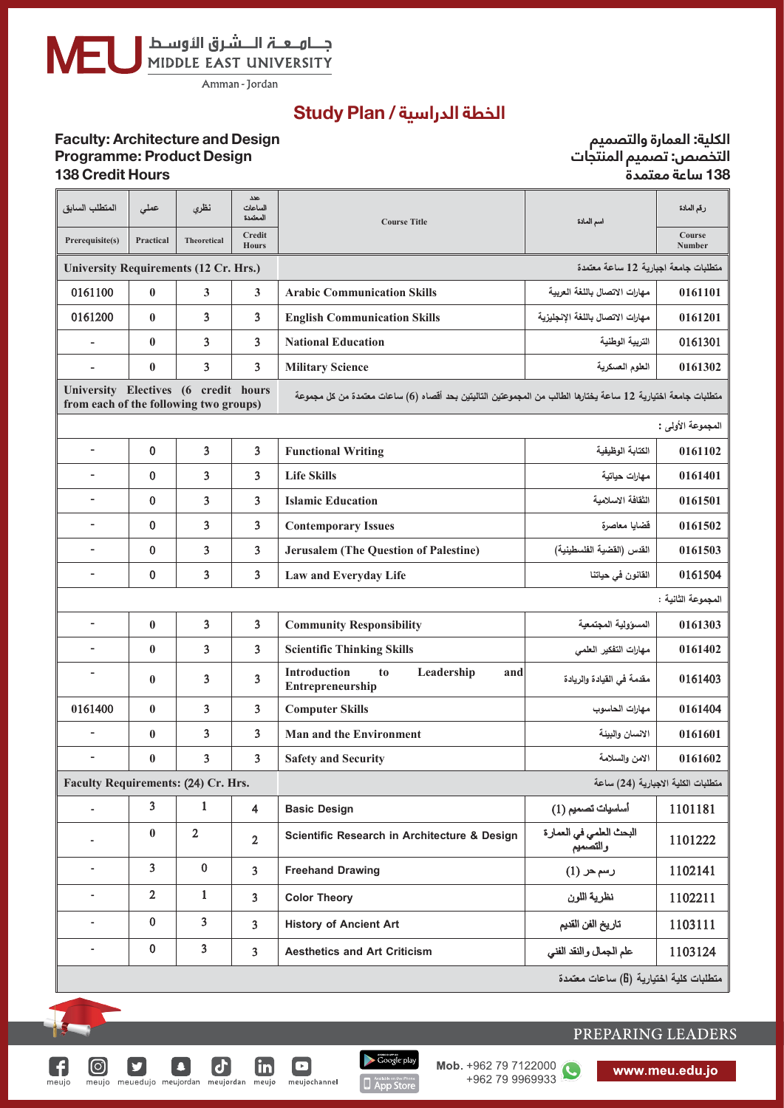جــــامـــعـــــّہ الــــــشـرق الأوســط<br>MIDDLE EAST UNIVERSITY

......................................................................... :**Adopted Date**

### الخطة الدراسية / <mark>Study Plan</mark>

#### **التخصص: تصميم املنتجات الكلية: العمارة والتصميم Faculty Faculty: Architecture and Design<br>
<u>Design</u> Programme: Product Design 138 ساعة معتمدة Hours Credit 138 Design Product : التخصص: تصميم المنتجات Programme**

**الكلية: العامرة والتصميم**

| المتطلب السابق                                                                                                                                                                                                                                                                                                                                                                                                                                                                                                                                                                                                                                                                                                                                                                                                       | عملى                    | نظرى               | عدد<br>الساعات<br>المعتمدة | <b>Course Title</b>                                                                                           | اسم المادة                                                                                                                                                                                                                                                           | رقم المادة                         |
|----------------------------------------------------------------------------------------------------------------------------------------------------------------------------------------------------------------------------------------------------------------------------------------------------------------------------------------------------------------------------------------------------------------------------------------------------------------------------------------------------------------------------------------------------------------------------------------------------------------------------------------------------------------------------------------------------------------------------------------------------------------------------------------------------------------------|-------------------------|--------------------|----------------------------|---------------------------------------------------------------------------------------------------------------|----------------------------------------------------------------------------------------------------------------------------------------------------------------------------------------------------------------------------------------------------------------------|------------------------------------|
| Prerequisite(s)                                                                                                                                                                                                                                                                                                                                                                                                                                                                                                                                                                                                                                                                                                                                                                                                      | Practical               | <b>Theoretical</b> | Credit<br><b>Hours</b>     |                                                                                                               |                                                                                                                                                                                                                                                                      | Course<br>Number                   |
| <b>University Requirements (12 Cr. Hrs.)</b><br>0161100<br>$\bf{0}$<br>3<br>3<br>0161200<br>3<br>3<br>$\bf{0}$<br>3<br>3<br>$\bf{0}$<br>$\bf{0}$<br>3<br>3<br>$\overline{a}$<br>University Electives (6 credit hours<br>from each of the following two groups)<br>$\overline{\mathbf{3}}$<br>3<br>$\bf{0}$<br>$\blacksquare$<br>3<br>$\bf{0}$<br>3<br>$\overline{\phantom{a}}$<br>3<br>$\overline{3}$<br>$\bf{0}$<br>$\overline{\phantom{a}}$<br>3<br>$\overline{3}$<br>$\bf{0}$<br>$\blacksquare$<br>$\overline{\mathbf{3}}$<br>$\bf{0}$<br>3<br>$\overline{\phantom{a}}$<br>3<br>$\overline{\mathbf{3}}$<br>$\bf{0}$<br>$\overline{a}$<br>3<br>3<br>$\bf{0}$<br>$\overline{\phantom{a}}$<br>3<br>3<br>$\bf{0}$<br>$\overline{\phantom{a}}$<br>$\overline{\phantom{a}}$<br>3<br>$\overline{\mathbf{3}}$<br>$\bf{0}$ |                         |                    |                            | متطلبات جامعة اجبارية 12 ساعة معتمدة                                                                          |                                                                                                                                                                                                                                                                      |                                    |
|                                                                                                                                                                                                                                                                                                                                                                                                                                                                                                                                                                                                                                                                                                                                                                                                                      |                         |                    |                            | <b>Arabic Communication Skills</b>                                                                            | مهارات الاتصال باللغة العربية                                                                                                                                                                                                                                        | 0161101                            |
|                                                                                                                                                                                                                                                                                                                                                                                                                                                                                                                                                                                                                                                                                                                                                                                                                      |                         |                    |                            | <b>English Communication Skills</b>                                                                           | مهارات الاتصال باللغة الإنجليزية                                                                                                                                                                                                                                     | 0161201                            |
|                                                                                                                                                                                                                                                                                                                                                                                                                                                                                                                                                                                                                                                                                                                                                                                                                      |                         |                    |                            | <b>National Education</b>                                                                                     | التربية الوطنية                                                                                                                                                                                                                                                      | 0161301                            |
|                                                                                                                                                                                                                                                                                                                                                                                                                                                                                                                                                                                                                                                                                                                                                                                                                      |                         |                    |                            | <b>Military Science</b>                                                                                       | العلوم العسكرية                                                                                                                                                                                                                                                      | 0161302                            |
|                                                                                                                                                                                                                                                                                                                                                                                                                                                                                                                                                                                                                                                                                                                                                                                                                      |                         |                    |                            | منطلبات جامعة اختيارية 12 ساعة يختارها الطالب من المجموعتين التاليتين بحد أقصاه (6) ساعات معتمدة من كل مجموعة |                                                                                                                                                                                                                                                                      |                                    |
|                                                                                                                                                                                                                                                                                                                                                                                                                                                                                                                                                                                                                                                                                                                                                                                                                      |                         |                    |                            |                                                                                                               |                                                                                                                                                                                                                                                                      | المجموعة الأولى :                  |
|                                                                                                                                                                                                                                                                                                                                                                                                                                                                                                                                                                                                                                                                                                                                                                                                                      |                         |                    |                            | <b>Functional Writing</b>                                                                                     | الكتابة الوظيفية                                                                                                                                                                                                                                                     | 0161102                            |
|                                                                                                                                                                                                                                                                                                                                                                                                                                                                                                                                                                                                                                                                                                                                                                                                                      |                         |                    |                            | <b>Life Skills</b>                                                                                            | مهارات حياتية                                                                                                                                                                                                                                                        | 0161401                            |
|                                                                                                                                                                                                                                                                                                                                                                                                                                                                                                                                                                                                                                                                                                                                                                                                                      |                         |                    |                            | <b>Islamic Education</b>                                                                                      | الثقافة الاسلامية                                                                                                                                                                                                                                                    | 0161501                            |
|                                                                                                                                                                                                                                                                                                                                                                                                                                                                                                                                                                                                                                                                                                                                                                                                                      |                         |                    |                            | <b>Contemporary Issues</b>                                                                                    | قضايا معاصرة                                                                                                                                                                                                                                                         | 0161502                            |
|                                                                                                                                                                                                                                                                                                                                                                                                                                                                                                                                                                                                                                                                                                                                                                                                                      |                         |                    |                            | <b>Jerusalem (The Question of Palestine)</b>                                                                  | القدس (القضية الفلسطينية)                                                                                                                                                                                                                                            | 0161503                            |
|                                                                                                                                                                                                                                                                                                                                                                                                                                                                                                                                                                                                                                                                                                                                                                                                                      |                         |                    |                            | Law and Everyday Life                                                                                         | القانون في حياتنا                                                                                                                                                                                                                                                    | 0161504                            |
|                                                                                                                                                                                                                                                                                                                                                                                                                                                                                                                                                                                                                                                                                                                                                                                                                      |                         |                    |                            |                                                                                                               |                                                                                                                                                                                                                                                                      | المجموعة الثانية :                 |
|                                                                                                                                                                                                                                                                                                                                                                                                                                                                                                                                                                                                                                                                                                                                                                                                                      |                         |                    |                            | <b>Community Responsibility</b>                                                                               | المسؤولية المجتمعية                                                                                                                                                                                                                                                  | 0161303                            |
|                                                                                                                                                                                                                                                                                                                                                                                                                                                                                                                                                                                                                                                                                                                                                                                                                      |                         |                    |                            | <b>Scientific Thinking Skills</b>                                                                             | مهارات التفكير العلمى                                                                                                                                                                                                                                                | 0161402                            |
|                                                                                                                                                                                                                                                                                                                                                                                                                                                                                                                                                                                                                                                                                                                                                                                                                      |                         |                    |                            | <b>Introduction</b><br>Leadership<br>t <sub>0</sub><br>and<br>Entrepreneurship                                | مقدمة في القيادة والريادة                                                                                                                                                                                                                                            | 0161403                            |
| 0161400                                                                                                                                                                                                                                                                                                                                                                                                                                                                                                                                                                                                                                                                                                                                                                                                              | $\mathbf{0}$            | 3                  | $\overline{3}$             | <b>Computer Skills</b>                                                                                        | مهارات الحاسوب                                                                                                                                                                                                                                                       | 0161404                            |
|                                                                                                                                                                                                                                                                                                                                                                                                                                                                                                                                                                                                                                                                                                                                                                                                                      | $\bf{0}$                | 3                  | 3                          | <b>Man and the Environment</b>                                                                                | الانسان والبيئة                                                                                                                                                                                                                                                      | 0161601                            |
| $\overline{\phantom{0}}$                                                                                                                                                                                                                                                                                                                                                                                                                                                                                                                                                                                                                                                                                                                                                                                             | $\bf{0}$                | 3                  | $\overline{\mathbf{3}}$    | <b>Safety and Security</b>                                                                                    | الامن والسلامة                                                                                                                                                                                                                                                       | 0161602                            |
| Faculty Requirements: (24) Cr. Hrs.                                                                                                                                                                                                                                                                                                                                                                                                                                                                                                                                                                                                                                                                                                                                                                                  |                         |                    |                            |                                                                                                               |                                                                                                                                                                                                                                                                      | منطلبات الكلية الاجبارية (24) ساعة |
|                                                                                                                                                                                                                                                                                                                                                                                                                                                                                                                                                                                                                                                                                                                                                                                                                      | 3                       | 1                  | $\overline{4}$             | <b>Basic Design</b>                                                                                           | أساسيات تصميم (1)                                                                                                                                                                                                                                                    | 1101181                            |
|                                                                                                                                                                                                                                                                                                                                                                                                                                                                                                                                                                                                                                                                                                                                                                                                                      | $\boldsymbol{0}$        | $\overline{2}$     | $\overline{2}$             | Scientific Research in Architecture & Design                                                                  | البحث العلمي في العمارة<br>والتصميم                                                                                                                                                                                                                                  | 1101222                            |
|                                                                                                                                                                                                                                                                                                                                                                                                                                                                                                                                                                                                                                                                                                                                                                                                                      | $\overline{\mathbf{3}}$ | $\bf{0}$           | $\overline{\mathbf{3}}$    | <b>Freehand Drawing</b>                                                                                       | رسم حر (1)                                                                                                                                                                                                                                                           | 1102141                            |
| $\overline{\phantom{a}}$                                                                                                                                                                                                                                                                                                                                                                                                                                                                                                                                                                                                                                                                                                                                                                                             | $\mathbf 2$             | $\mathbf{1}$       | $\overline{3}$             | <b>Color Theory</b>                                                                                           | نظرية اللون                                                                                                                                                                                                                                                          | 1102211                            |
|                                                                                                                                                                                                                                                                                                                                                                                                                                                                                                                                                                                                                                                                                                                                                                                                                      | $\bf{0}$                | $\mathbf{3}$       | $\overline{\mathbf{3}}$    | <b>History of Ancient Art</b>                                                                                 | تاريخ الفن القديم                                                                                                                                                                                                                                                    | 1103111                            |
| $\overline{\phantom{0}}$                                                                                                                                                                                                                                                                                                                                                                                                                                                                                                                                                                                                                                                                                                                                                                                             | $\bf{0}$                | $\mathbf{3}$       | $\overline{\mathbf{3}}$    | <b>Aesthetics and Art Criticism</b>                                                                           | علم الجمال والنقد الفنى                                                                                                                                                                                                                                              | 1103124                            |
|                                                                                                                                                                                                                                                                                                                                                                                                                                                                                                                                                                                                                                                                                                                                                                                                                      |                         |                    |                            |                                                                                                               | $\vec{v}$ and $\vec{v}$ and $\vec{v}$ and $\vec{v}$ and $\vec{v}$ and $\vec{v}$ and $\vec{v}$ and $\vec{v}$ and $\vec{v}$ and $\vec{v}$ and $\vec{v}$ and $\vec{v}$ and $\vec{v}$ and $\vec{v}$ and $\vec{v}$ and $\vec{v}$ and $\vec{v}$ and $\vec{v}$ and $\vec{v$ |                                    |

 $\overline{R}$ 

<u>in</u>

 $\boldsymbol{\mathsf{d}}$ 

 $\overline{\mathbf{a}}$ 

meujo meuedujo meujordan meujordan meujo

 $\boxed{\textcircled{\;}}$ 

V

G

 $meujo$ 

25/07/2020 :Date

 $\Box$ 

meujochannel

 $\bigwedge$  Google play

**D** App Store

**متطلبات كلية اختيارية )6( ساعات معتمدة**

### PREPARING LEADERS

Mob. +962 79 7122000 O +962 79 9969933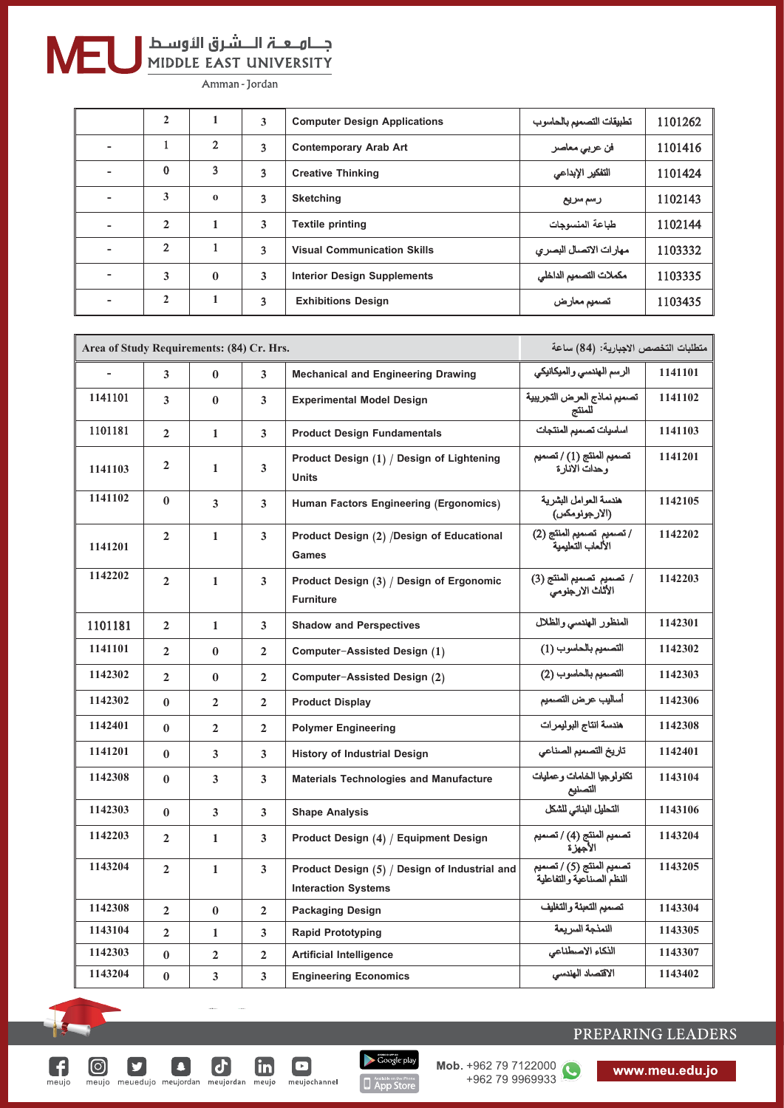

G

 $m$ eujo

 $\textcircled{\scriptsize{}}$ 

 $|\mathbf{y}|$ 

 $\boldsymbol{\sigma}$ 

meujo meuedujo meujordan meujordan meujo meujochannel

 $\boxed{\mathbf{c}}$ 

 $\Box$ 

 $\mathbf{m}$ 

# جـــاهــعـــة الــــشـرق الأوســط<br>MIDDLE EAST UNIVERSITY

Amman - Jordan

|                          | $\mathbf{2}$ | 1              | 3              | <b>Computer Design Applications</b> | تطبيقات التصميم بالحاسوب | 1101262 |
|--------------------------|--------------|----------------|----------------|-------------------------------------|--------------------------|---------|
| $\overline{\phantom{0}}$ |              | $\overline{2}$ | 3              | <b>Contemporary Arab Art</b>        | فن عربي معاصر            | 1101416 |
| $\overline{\phantom{0}}$ | $\mathbf{0}$ | 3              | 3              | <b>Creative Thinking</b>            | التفكير الإبداعي         | 1101424 |
| $\overline{\phantom{0}}$ | 3            | $\Omega$       | $\overline{3}$ | <b>Sketching</b>                    | رسم سريع                 | 1102143 |
| $\overline{\phantom{0}}$ | $\mathbf{2}$ | 1              | 3              | <b>Textile printing</b>             | طباعة المنسوجات          | 1102144 |
| $\overline{\phantom{0}}$ | 2            |                | 3              | <b>Visual Communication Skills</b>  | مهارات الاتصال البصري    | 1103332 |
| $\overline{\phantom{a}}$ | 3            | $\mathbf{0}$   | 3              | <b>Interior Design Supplements</b>  | مكملات التصميم الداخلي   | 1103335 |
| $\overline{\phantom{0}}$ | 2            | 1              | 3              | <b>Exhibitions Design</b>           | تصميم معارض              | 1103435 |

| Area of Study Requirements: (84) Cr. Hrs. |                |                |                         |                                                                             | متطلبات التخصص الاجبارية: (84) ساعة                   |         |
|-------------------------------------------|----------------|----------------|-------------------------|-----------------------------------------------------------------------------|-------------------------------------------------------|---------|
|                                           | 3              | $\mathbf{0}$   | 3                       | <b>Mechanical and Engineering Drawing</b>                                   | الرسم الهندسي والميكانيكي                             | 1141101 |
| 1141101                                   | 3              | $\mathbf{0}$   | 3                       | <b>Experimental Model Design</b>                                            | تصميم نماذج العرض التجريبية<br>للمنتج                 | 1141102 |
| 1101181                                   | $\overline{2}$ | 1              | $\overline{3}$          | <b>Product Design Fundamentals</b>                                          | اساسيات تصميم المنتجات                                | 1141103 |
| 1141103                                   | 2              | 1              | 3                       | Product Design (1) / Design of Lightening<br><b>Units</b>                   | تصميم المنتج (1) / تصميم<br>وحدات الانار ة            | 1141201 |
| 1141102                                   | $\bf{0}$       | 3              | 3                       | Human Factors Engineering (Ergonomics)                                      | هندسة العوامل البشرية<br>(الارجونومكس)                | 1142105 |
| 1141201                                   | $\overline{2}$ | 1              | $\overline{\mathbf{3}}$ | Product Design (2) /Design of Educational<br>Games                          | / تصميم  تصميم المنتج (2)<br>الألعاب التعليمية        | 1142202 |
| 1142202                                   | $\overline{2}$ | 1              | 3                       | Product Design (3) / Design of Ergonomic<br><b>Furniture</b>                | / تصميم تصميم المنتج (3)<br>الأثاث الارجنومي          | 1142203 |
| 1101181                                   | $\mathbf{2}$   | $\mathbf{1}$   | 3                       | <b>Shadow and Perspectives</b>                                              | المنظور الهندسي والظلال                               | 1142301 |
| 1141101                                   | $\overline{2}$ | $\bf{0}$       | $\overline{2}$          | Computer-Assisted Design (1)                                                | التصميم بالحاسوب (1)                                  | 1142302 |
| 1142302                                   | $\overline{2}$ | $\bf{0}$       | $\overline{2}$          | Computer-Assisted Design (2)                                                | التصميم بالحاسوب (2)                                  | 1142303 |
| 1142302                                   | $\bf{0}$       | $\overline{2}$ | $\overline{2}$          | <b>Product Display</b>                                                      | أساليب عرض التصميم                                    | 1142306 |
| 1142401                                   | $\bf{0}$       | $\overline{2}$ | $\mathbf{2}$            | <b>Polymer Engineering</b>                                                  | هندسة انتاج البوليمرات                                | 1142308 |
| 1141201                                   | $\mathbf{0}$   | 3              | 3                       | <b>History of Industrial Design</b>                                         | تاريخ التصميم الصناعى                                 | 1142401 |
| 1142308                                   | $\bf{0}$       | 3              | 3                       | <b>Materials Technologies and Manufacture</b>                               | تكنولوجيا الخامات وعمليات<br>التصنيع                  | 1143104 |
| 1142303                                   | $\bf{0}$       | 3              | 3                       | <b>Shape Analysis</b>                                                       | التحليل البنائى للشكل                                 | 1143106 |
| 1142203                                   | $\mathbf{2}$   | 1              | 3                       | Product Design (4) / Equipment Design                                       | تصميم المنتج (4) / تصميم<br>الأجهز ة                  | 1143204 |
| 1143204                                   | $\overline{2}$ | $\mathbf{1}$   | 3                       | Product Design (5) / Design of Industrial and<br><b>Interaction Systems</b> | تصميم المنتج (5) / تصميم<br>النظم الصنآعية والتفاعلية | 1143205 |
| 1142308                                   | $\mathbf{2}$   | $\bf{0}$       | $\mathbf{2}$            | <b>Packaging Design</b>                                                     | تصميم التعبنة والتغليف                                | 1143304 |
| 1143104                                   | $\overline{2}$ | 1              | 3                       | <b>Rapid Prototyping</b>                                                    | النمذجة السر بعة                                      | 1143305 |
| 1142303                                   | $\bf{0}$       | $\mathbf{2}$   | $\overline{2}$          | <b>Artificial Intelligence</b>                                              | الذكاء الاصطناعي                                      | 1143307 |
| 1143204                                   | $\bf{0}$       | 3              | 3                       | <b>Engineering Economics</b>                                                | الاقتصاد الهندسي                                      | 1143402 |

Google play

App Store

Mob. +962 79 7122000

### PREPARING LEADERS

www.meu.edu.jo